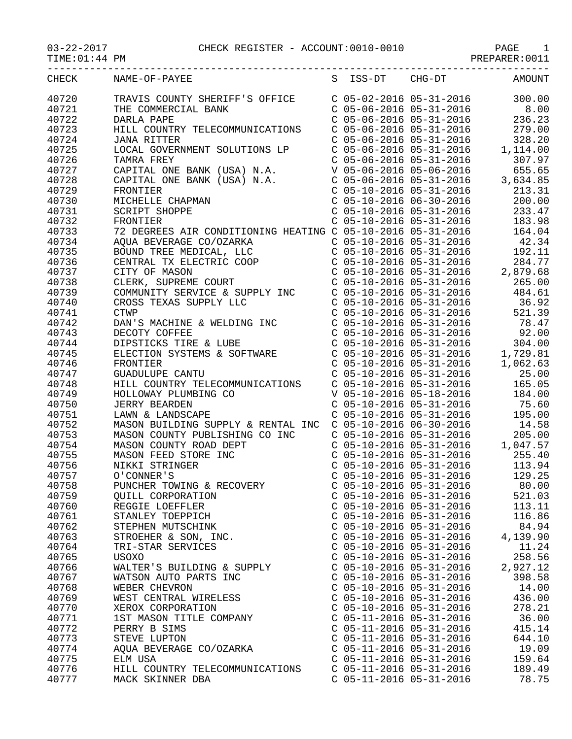TIME:01:44 PM PREPARER:0011

| CHECK | NAME-OF-PAYEE                                                                                                                                                                                                                                     |                           |                           | S ISS-DT CHG-DT AMOUNT                                                                                                                                                                                                                              |
|-------|---------------------------------------------------------------------------------------------------------------------------------------------------------------------------------------------------------------------------------------------------|---------------------------|---------------------------|-----------------------------------------------------------------------------------------------------------------------------------------------------------------------------------------------------------------------------------------------------|
| 40720 | TRAVIS COUNTY SHERIFF'S OFFICE<br>THE COMMERCIAL BANK<br>C 05-06-2016 05-31-2016<br>C 05-06-2016 05-31-2016 236.23<br>C 05-06-2016 05-31-2016 236.23                                                                                              |                           |                           |                                                                                                                                                                                                                                                     |
| 40721 |                                                                                                                                                                                                                                                   |                           |                           |                                                                                                                                                                                                                                                     |
| 40722 |                                                                                                                                                                                                                                                   |                           |                           |                                                                                                                                                                                                                                                     |
| 40723 | HILL COUNTRY TELECOMMUNICATIONS                                                                                                                                                                                                                   |                           |                           | $C$ 05-06-2016 05-31-2016 279.00                                                                                                                                                                                                                    |
| 40724 | <b>JANA RITTER</b>                                                                                                                                                                                                                                |                           | C 05-06-2016 05-31-2016   | 328.20                                                                                                                                                                                                                                              |
| 40725 |                                                                                                                                                                                                                                                   |                           |                           |                                                                                                                                                                                                                                                     |
| 40726 |                                                                                                                                                                                                                                                   |                           |                           |                                                                                                                                                                                                                                                     |
| 40727 |                                                                                                                                                                                                                                                   |                           |                           |                                                                                                                                                                                                                                                     |
| 40728 |                                                                                                                                                                                                                                                   |                           |                           |                                                                                                                                                                                                                                                     |
| 40729 |                                                                                                                                                                                                                                                   |                           |                           |                                                                                                                                                                                                                                                     |
| 40730 |                                                                                                                                                                                                                                                   |                           |                           |                                                                                                                                                                                                                                                     |
| 40731 | COCAL GOVERNMENT SOLUTIONS LP<br>COS-06-2016 05-31-2016<br>COS-06-2016 05-31-2016<br>COS-06-2016 05-31-2016<br>COS-06-2016 05-31-2016<br>COS-06-2016 05-31-2016<br>COS-06-2016 05-31-2016<br>COS-06-2016 05-31-2016<br>COS-06-2016 05-31-2016<br> |                           |                           |                                                                                                                                                                                                                                                     |
| 40732 |                                                                                                                                                                                                                                                   |                           |                           |                                                                                                                                                                                                                                                     |
| 40733 | FRONTIER<br>72 DEGREES AIR CONDITIONING HEATING C 05-10-2016 05-31-2016 183.98<br>72 DEGREES AIR CONDITIONING HEATING C 05-10-2016 05-31-2016 164.04<br>AQUA BEVERAGE CO/OZARKA C 05-10-2016 05-31-2016 42.34<br>BOUND TREE MEDICAL,              |                           |                           |                                                                                                                                                                                                                                                     |
| 40734 |                                                                                                                                                                                                                                                   |                           |                           |                                                                                                                                                                                                                                                     |
| 40735 |                                                                                                                                                                                                                                                   |                           |                           |                                                                                                                                                                                                                                                     |
| 40736 |                                                                                                                                                                                                                                                   |                           |                           |                                                                                                                                                                                                                                                     |
| 40737 |                                                                                                                                                                                                                                                   |                           |                           |                                                                                                                                                                                                                                                     |
|       |                                                                                                                                                                                                                                                   |                           |                           |                                                                                                                                                                                                                                                     |
| 40738 |                                                                                                                                                                                                                                                   |                           |                           |                                                                                                                                                                                                                                                     |
| 40739 | BOUND TREE MEDICAL, LLC COP<br>C 05-10-2016 05-31-2016<br>CENTRAL TX ELECTRIC COOP<br>C 05-10-2016 05-31-2016<br>CLERK, SUPREME COURT<br>COMMUNITY SERVICE & SUPPLY INC C 05-10-2016 05-31-2016<br>COMMUNITY SERVICE & SUPPLY INC C 05-10-        |                           |                           |                                                                                                                                                                                                                                                     |
| 40740 |                                                                                                                                                                                                                                                   |                           |                           |                                                                                                                                                                                                                                                     |
| 40741 |                                                                                                                                                                                                                                                   |                           |                           |                                                                                                                                                                                                                                                     |
| 40742 |                                                                                                                                                                                                                                                   |                           |                           | 78.47                                                                                                                                                                                                                                               |
| 40743 | CTWP<br>DAN'S MACHINE & WELDING INC<br>DECOTY COFFEE<br>DIPSTICKS TIRE & LUBE<br>ELECTION SYSTEMS & SOFTWARE                                                                                                                                      |                           |                           | $\begin{array}{llll} \mbox{C} & 05-10-2016 & 05-31-2016 & 92.00 \\ \mbox{C} & 05-10-2016 & 05-31-2016 & 304.00 \\ \mbox{C} & 05-10-2016 & 05-31-2016 & 1,729.81 \end{array}$                                                                        |
| 40744 |                                                                                                                                                                                                                                                   |                           |                           |                                                                                                                                                                                                                                                     |
| 40745 |                                                                                                                                                                                                                                                   |                           |                           |                                                                                                                                                                                                                                                     |
| 40746 |                                                                                                                                                                                                                                                   |                           |                           | $C$ 05-10-2016 05-31-2016 1,062.63                                                                                                                                                                                                                  |
| 40747 |                                                                                                                                                                                                                                                   |                           |                           | $C$ 05-10-2016 05-31-2016 25.00                                                                                                                                                                                                                     |
| 40748 | HILL COUNTRY TELECOMMUNICATIONS                                                                                                                                                                                                                   |                           |                           | $\begin{tabular}{lllllllllll} C&05-10-2016&05-31-2016&165.05 \\ V&05-10-2016&05-18-2016&184.00 \\ C&05-10-2016&05-31-2016&75.60 \end{tabular}$                                                                                                      |
| 40749 | HOLLOWAY PLUMBING CO<br>$\frac{1}{2}$ CO                                                                                                                                                                                                          |                           |                           |                                                                                                                                                                                                                                                     |
| 40750 | <b>JERRY BEARDEN</b>                                                                                                                                                                                                                              |                           |                           |                                                                                                                                                                                                                                                     |
| 40751 | LAWN & LANDSCAPE                                                                                                                                                                                                                                  |                           | $C$ 05-10-2016 05-31-2016 | 195.00                                                                                                                                                                                                                                              |
| 40752 | MASON BUILDING SUPPLY & RENTAL INC                                                                                                                                                                                                                |                           |                           | $C$ 05-10-2016 06-30-2016 14.58                                                                                                                                                                                                                     |
| 40753 | MASON COUNTY PUBLISHING CO INC                                                                                                                                                                                                                    |                           |                           |                                                                                                                                                                                                                                                     |
| 40754 |                                                                                                                                                                                                                                                   |                           |                           |                                                                                                                                                                                                                                                     |
| 40755 | MASON COUNTY ROAD DEPT<br>MASON FEED STORE INC<br>NIKKI STRINGER<br>O'CONNER'S                                                                                                                                                                    |                           |                           | $\begin{tabular}{lllllllllll} $\texttt{C} & 05-10-2016 & 05-31-2016 & 205.00 \\ $\texttt{C} & 05-10-2016 & 05-31-2016 & 1,047.57 \\ $\texttt{C} & 05-10-2016 & 05-31-2016 & 255.40 \\ $\texttt{C} & 05-10-2016 & 05-31-2016 & 113.94 \end{tabular}$ |
| 40756 |                                                                                                                                                                                                                                                   |                           |                           |                                                                                                                                                                                                                                                     |
| 40757 |                                                                                                                                                                                                                                                   |                           | $C$ 05-10-2016 05-31-2016 | 129.25                                                                                                                                                                                                                                              |
| 40758 | PUNCHER TOWING & RECOVERY                                                                                                                                                                                                                         |                           | $C$ 05-10-2016 05-31-2016 | 80.00                                                                                                                                                                                                                                               |
| 40759 | <b>QUILL CORPORATION</b>                                                                                                                                                                                                                          | $C$ 05-10-2016 05-31-2016 |                           | 521.03                                                                                                                                                                                                                                              |
| 40760 | REGGIE LOEFFLER                                                                                                                                                                                                                                   | $C$ 05-10-2016 05-31-2016 |                           | 113.11                                                                                                                                                                                                                                              |
| 40761 | STANLEY TOEPPICH                                                                                                                                                                                                                                  | $C$ 05-10-2016 05-31-2016 |                           | 116.86                                                                                                                                                                                                                                              |
| 40762 | STEPHEN MUTSCHINK                                                                                                                                                                                                                                 | $C$ 05-10-2016 05-31-2016 |                           | 84.94                                                                                                                                                                                                                                               |
| 40763 | STROEHER & SON, INC.                                                                                                                                                                                                                              | $C$ 05-10-2016 05-31-2016 |                           | 4,139.90                                                                                                                                                                                                                                            |
| 40764 | TRI-STAR SERVICES                                                                                                                                                                                                                                 | $C$ 05-10-2016 05-31-2016 |                           | 11.24                                                                                                                                                                                                                                               |
| 40765 | USOXO                                                                                                                                                                                                                                             | $C$ 05-10-2016 05-31-2016 |                           | 258.56                                                                                                                                                                                                                                              |
| 40766 | WALTER'S BUILDING & SUPPLY                                                                                                                                                                                                                        | $C$ 05-10-2016 05-31-2016 |                           | 2,927.12                                                                                                                                                                                                                                            |
| 40767 | WATSON AUTO PARTS INC                                                                                                                                                                                                                             | $C$ 05-10-2016 05-31-2016 |                           | 398.58                                                                                                                                                                                                                                              |
| 40768 | WEBER CHEVRON                                                                                                                                                                                                                                     | $C$ 05-10-2016 05-31-2016 |                           | 14.00                                                                                                                                                                                                                                               |
| 40769 | WEST CENTRAL WIRELESS                                                                                                                                                                                                                             | $C$ 05-10-2016 05-31-2016 |                           | 436.00                                                                                                                                                                                                                                              |
| 40770 | XEROX CORPORATION                                                                                                                                                                                                                                 | $C$ 05-10-2016 05-31-2016 |                           | 278.21                                                                                                                                                                                                                                              |
| 40771 | 1ST MASON TITLE COMPANY                                                                                                                                                                                                                           | $C$ 05-11-2016 05-31-2016 |                           | 36.00                                                                                                                                                                                                                                               |
| 40772 | PERRY B SIMS                                                                                                                                                                                                                                      | $C$ 05-11-2016 05-31-2016 |                           | 415.14                                                                                                                                                                                                                                              |
| 40773 | STEVE LUPTON                                                                                                                                                                                                                                      | $C$ 05-11-2016 05-31-2016 |                           | 644.10                                                                                                                                                                                                                                              |
| 40774 | AQUA BEVERAGE CO/OZARKA                                                                                                                                                                                                                           | $C$ 05-11-2016 05-31-2016 |                           | 19.09                                                                                                                                                                                                                                               |
| 40775 | ELM USA                                                                                                                                                                                                                                           | $C$ 05-11-2016 05-31-2016 |                           | 159.64                                                                                                                                                                                                                                              |
| 40776 | HILL COUNTRY TELECOMMUNICATIONS                                                                                                                                                                                                                   | $C$ 05-11-2016 05-31-2016 |                           | 189.49                                                                                                                                                                                                                                              |
| 40777 | MACK SKINNER DBA                                                                                                                                                                                                                                  | C 05-11-2016 05-31-2016   |                           | 78.75                                                                                                                                                                                                                                               |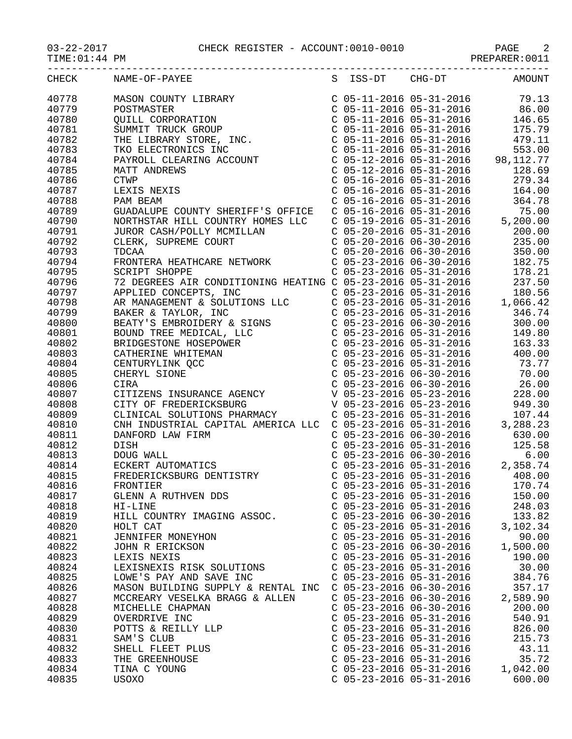## 03-22-2017 CHECK REGISTER - ACCOUNT:0010-0010 PAGE 2

PREPARER:0011

| CHECK          | NAME-OF-PAYEE                                                                                                                                                                                                                                       |                           |                           | S ISS-DT CHG-DT AMOUNT          |
|----------------|-----------------------------------------------------------------------------------------------------------------------------------------------------------------------------------------------------------------------------------------------------|---------------------------|---------------------------|---------------------------------|
| 40778          |                                                                                                                                                                                                                                                     |                           |                           |                                 |
| 40779          |                                                                                                                                                                                                                                                     |                           |                           |                                 |
| 40780          |                                                                                                                                                                                                                                                     |                           |                           |                                 |
| 40781          |                                                                                                                                                                                                                                                     |                           |                           |                                 |
| 40782          |                                                                                                                                                                                                                                                     |                           |                           |                                 |
| 40783          |                                                                                                                                                                                                                                                     |                           |                           |                                 |
| 40784          |                                                                                                                                                                                                                                                     |                           |                           |                                 |
| 40785          |                                                                                                                                                                                                                                                     |                           |                           |                                 |
| 40786          |                                                                                                                                                                                                                                                     |                           |                           |                                 |
| 40787          |                                                                                                                                                                                                                                                     |                           |                           |                                 |
| 40788          |                                                                                                                                                                                                                                                     |                           |                           |                                 |
| 40789          |                                                                                                                                                                                                                                                     |                           |                           |                                 |
| 40790          |                                                                                                                                                                                                                                                     |                           |                           |                                 |
| 40791          |                                                                                                                                                                                                                                                     |                           |                           |                                 |
| 40792          |                                                                                                                                                                                                                                                     |                           |                           |                                 |
| 40793          |                                                                                                                                                                                                                                                     |                           |                           |                                 |
| 40794          |                                                                                                                                                                                                                                                     |                           |                           |                                 |
| 40795          |                                                                                                                                                                                                                                                     |                           |                           |                                 |
| 40796          |                                                                                                                                                                                                                                                     |                           |                           |                                 |
| 40797          |                                                                                                                                                                                                                                                     |                           |                           |                                 |
| 40798          |                                                                                                                                                                                                                                                     |                           |                           |                                 |
| 40799          |                                                                                                                                                                                                                                                     |                           |                           |                                 |
| 40800          |                                                                                                                                                                                                                                                     |                           |                           |                                 |
| 40801          |                                                                                                                                                                                                                                                     |                           |                           |                                 |
| 40802          |                                                                                                                                                                                                                                                     |                           |                           |                                 |
| 40803          |                                                                                                                                                                                                                                                     |                           |                           |                                 |
|                |                                                                                                                                                                                                                                                     |                           |                           |                                 |
| 40804<br>40805 |                                                                                                                                                                                                                                                     |                           |                           | $C$ 05-23-2016 06-30-2016 70.00 |
| 40806          |                                                                                                                                                                                                                                                     |                           |                           |                                 |
| 40807          |                                                                                                                                                                                                                                                     |                           |                           |                                 |
| 40808          |                                                                                                                                                                                                                                                     |                           |                           |                                 |
|                |                                                                                                                                                                                                                                                     |                           |                           |                                 |
| 40809<br>40810 |                                                                                                                                                                                                                                                     |                           |                           |                                 |
|                | CNH INDUSTRIAL CAPITAL AMERICA LLC C 05-23-2016 05-31-2016 3,288.23                                                                                                                                                                                 |                           |                           |                                 |
| 40811          | DANFORD LAW FIRM<br>DISH<br>DISH<br>DUG WALL<br>CO5-23-2016 06-30-2016<br>CO5-23-2016 05-31-2016<br>CO5-23-2016 06-30-2016<br>CO5-23-2016 06-30-2016<br>CO5-23-2016 05-31-2016<br>CO5-23-2016 05-31-2016<br>PREDERICKSBURG DENTISTRY<br>CO5-23-2016 |                           |                           |                                 |
| 40812          |                                                                                                                                                                                                                                                     |                           |                           |                                 |
| 40813          |                                                                                                                                                                                                                                                     |                           |                           |                                 |
| 40814          |                                                                                                                                                                                                                                                     |                           |                           |                                 |
| 40815          |                                                                                                                                                                                                                                                     |                           |                           |                                 |
| 40816          | FRONTIER                                                                                                                                                                                                                                            |                           | $C$ 05-23-2016 05-31-2016 | 170.74                          |
| 40817          | GLENN A RUTHVEN DDS                                                                                                                                                                                                                                 | $C$ 05-23-2016 05-31-2016 |                           | 150.00                          |
| 40818          | HI-LINE                                                                                                                                                                                                                                             | $C$ 05-23-2016 05-31-2016 |                           | 248.03                          |
| 40819          | HILL COUNTRY IMAGING ASSOC.                                                                                                                                                                                                                         | $C$ 05-23-2016 06-30-2016 |                           | 133.82                          |
| 40820          | HOLT CAT                                                                                                                                                                                                                                            | $C$ 05-23-2016 05-31-2016 |                           | 3,102.34                        |
| 40821          | JENNIFER MONEYHON                                                                                                                                                                                                                                   | $C$ 05-23-2016 05-31-2016 |                           | 90.00                           |
| 40822          | JOHN R ERICKSON                                                                                                                                                                                                                                     | $C$ 05-23-2016 06-30-2016 |                           | 1,500.00                        |
| 40823          | LEXIS NEXIS                                                                                                                                                                                                                                         | $C$ 05-23-2016 05-31-2016 |                           | 190.00                          |
| 40824          | LEXISNEXIS RISK SOLUTIONS                                                                                                                                                                                                                           | $C$ 05-23-2016 05-31-2016 |                           | 30.00                           |
| 40825          | LOWE'S PAY AND SAVE INC                                                                                                                                                                                                                             | $C$ 05-23-2016 05-31-2016 |                           | 384.76                          |
| 40826          | MASON BUILDING SUPPLY & RENTAL INC                                                                                                                                                                                                                  | $C$ 05-23-2016 06-30-2016 |                           | 357.17                          |
| 40827          | MCCREARY VESELKA BRAGG & ALLEN                                                                                                                                                                                                                      | $C$ 05-23-2016 06-30-2016 |                           | 2,589.90                        |
| 40828          | MICHELLE CHAPMAN                                                                                                                                                                                                                                    | $C$ 05-23-2016 06-30-2016 |                           | 200.00                          |
| 40829          | OVERDRIVE INC                                                                                                                                                                                                                                       | $C$ 05-23-2016 05-31-2016 |                           | 540.91                          |
| 40830          | POTTS & REILLY LLP                                                                                                                                                                                                                                  | $C$ 05-23-2016 05-31-2016 |                           | 826.00                          |
| 40831          | SAM'S CLUB                                                                                                                                                                                                                                          | $C$ 05-23-2016 05-31-2016 |                           | 215.73                          |
| 40832          | SHELL FLEET PLUS                                                                                                                                                                                                                                    | $C$ 05-23-2016 05-31-2016 |                           | 43.11                           |
| 40833          | THE GREENHOUSE                                                                                                                                                                                                                                      | $C$ 05-23-2016 05-31-2016 |                           | 35.72                           |
| 40834          | TINA C YOUNG                                                                                                                                                                                                                                        | $C$ 05-23-2016 05-31-2016 |                           | 1,042.00                        |
| 40835          | USOXO                                                                                                                                                                                                                                               | $C$ 05-23-2016 05-31-2016 |                           | 600.00                          |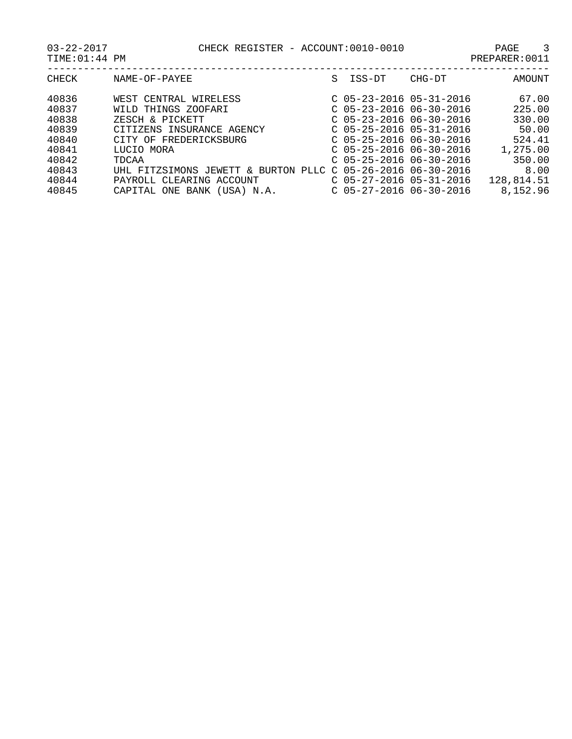| $22 - 201$ |  |  |  |
|------------|--|--|--|
|            |  |  |  |

| CHECK | NAME-OF-PAYEE                                               | S | ISS-DT                    | CHG-DT | AMOUNT     |
|-------|-------------------------------------------------------------|---|---------------------------|--------|------------|
| 40836 | WEST CENTRAL WIRELESS                                       |   | $C$ 05-23-2016 05-31-2016 |        | 67.00      |
| 40837 | WILD THINGS ZOOFARI                                         |   | $C$ 05-23-2016 06-30-2016 |        | 225.00     |
| 40838 | ZESCH & PICKETT                                             |   | $C$ 05-23-2016 06-30-2016 |        | 330.00     |
| 40839 | CITIZENS INSURANCE AGENCY                                   |   | $C$ 05-25-2016 05-31-2016 |        | 50.00      |
| 40840 | CITY OF FREDERICKSBURG                                      |   | $C$ 05-25-2016 06-30-2016 |        | 524.41     |
| 40841 | LUCIO MORA                                                  |   | $C$ 05-25-2016 06-30-2016 |        | 1,275.00   |
| 40842 | TDCAA                                                       |   | $C$ 05-25-2016 06-30-2016 |        | 350.00     |
| 40843 | UHL FITZSIMONS JEWETT & BURTON PLLC C 05-26-2016 06-30-2016 |   |                           |        | 8.00       |
| 40844 | PAYROLL CLEARING ACCOUNT                                    |   | $C$ 05-27-2016 05-31-2016 |        | 128,814.51 |
| 40845 | CAPITAL ONE BANK (USA) N.A.                                 |   | $C$ 05-27-2016 06-30-2016 |        | 8,152.96   |
|       |                                                             |   |                           |        |            |